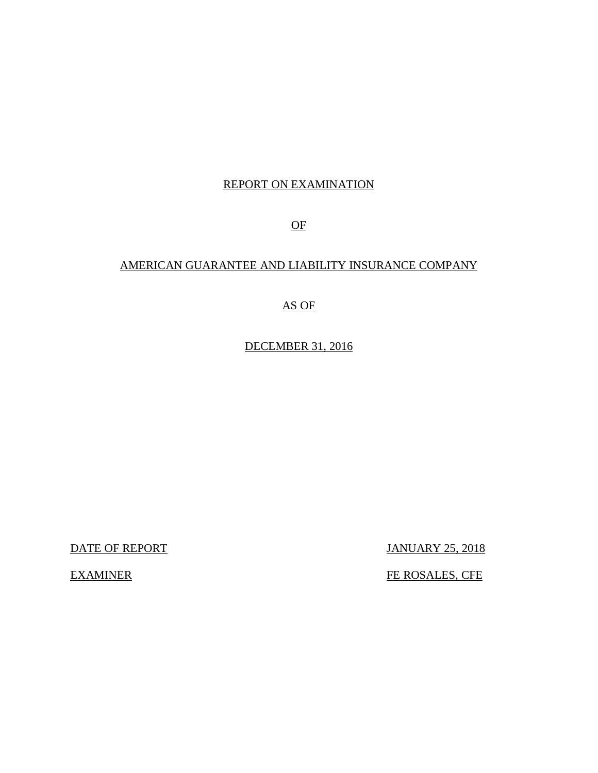# REPORT ON EXAMINATION

OF

# AMERICAN GUARANTEE AND LIABILITY INSURANCE COMPANY

# AS OF

DECEMBER 31, 2016

DATE OF REPORT JANUARY 25, 2018

EXAMINER FE ROSALES, CFE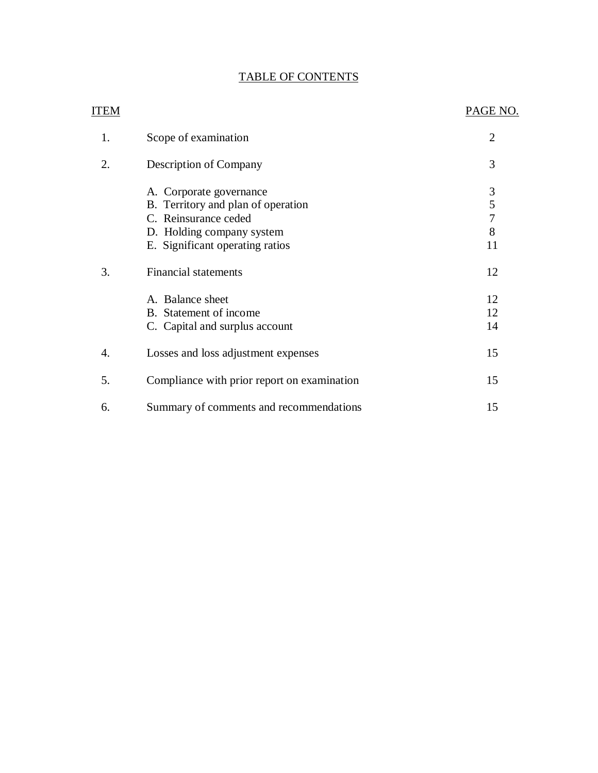# TABLE OF CONTENTS

| <b>ITEM</b> |                                             | PAGE NO.       |
|-------------|---------------------------------------------|----------------|
| 1.          | Scope of examination                        | $\overline{2}$ |
| 2.          | Description of Company                      | 3              |
|             | A. Corporate governance                     | 3              |
|             | B. Territory and plan of operation          | 5              |
|             | C. Reinsurance ceded                        | $\overline{7}$ |
|             | D. Holding company system                   | 8              |
|             | E. Significant operating ratios             | 11             |
| 3.          | <b>Financial statements</b>                 | 12             |
|             | A. Balance sheet                            | 12             |
|             | B. Statement of income                      | 12             |
|             | C. Capital and surplus account              | 14             |
| 4.          | Losses and loss adjustment expenses         | 15             |
| 5.          | Compliance with prior report on examination | 15             |
| 6.          | Summary of comments and recommendations     | 15             |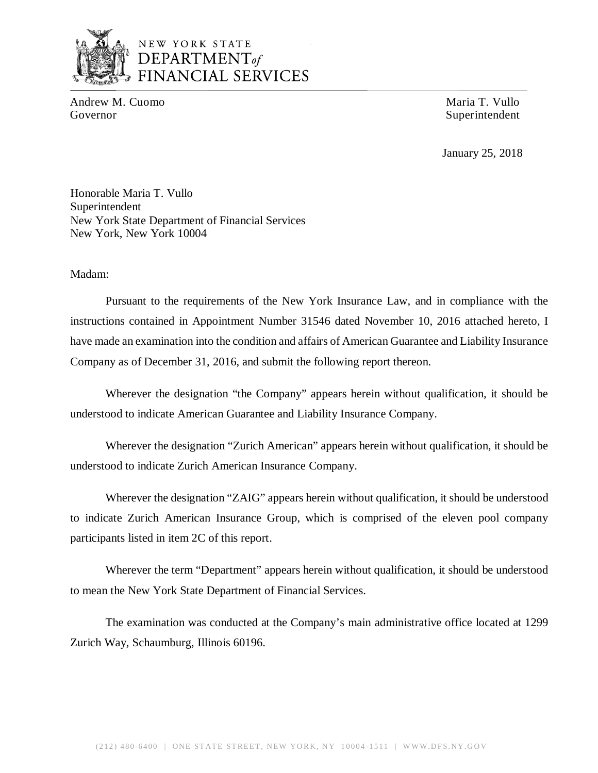

# NEW YORK STATE *DEPARTMENTof*  FINANCIAL SERVICES

Andrew M. Cuomo **Maria T. Vullo** Maria T. Vullo Governor Superintendent Superintendent

January 25, 2018

Honorable Maria T. Vullo Superintendent New York State Department of Financial Services New York, New York 10004

Madam:

Pursuant to the requirements of the New York Insurance Law, and in compliance with the instructions contained in Appointment Number 31546 dated November 10, 2016 attached hereto, I have made an examination into the condition and affairs of American Guarantee and Liability Insurance Company as of December 31, 2016, and submit the following report thereon.

Wherever the designation "the Company" appears herein without qualification, it should be understood to indicate American Guarantee and Liability Insurance Company.

Wherever the designation "Zurich American" appears herein without qualification, it should be understood to indicate Zurich American Insurance Company.

Wherever the designation "ZAIG" appears herein without qualification, it should be understood to indicate Zurich American Insurance Group, which is comprised of the eleven pool company participants listed in item 2C of this report.

Wherever the term "Department" appears herein without qualification, it should be understood to mean the New York State Department of Financial Services.

The examination was conducted at the Company's main administrative office located at 1299 Zurich Way, Schaumburg, Illinois 60196.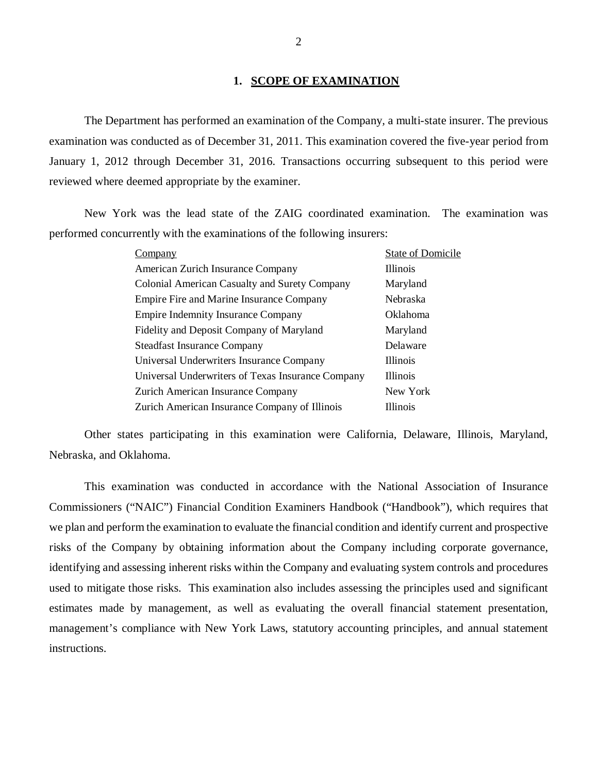#### **1. SCOPE OF EXAMINATION**

The Department has performed an examination of the Company*,* a multi-state insurer. The previous examination was conducted as of December 31, 2011. This examination covered the five-year period from January 1, 2012 through December 31, 2016. Transactions occurring subsequent to this period were reviewed where deemed appropriate by the examiner.

New York was the lead state of the ZAIG coordinated examination. The examination was performed concurrently with the examinations of the following insurers:

| Company                                              | <b>State of Domicile</b> |
|------------------------------------------------------|--------------------------|
| American Zurich Insurance Company                    | <b>Illinois</b>          |
| <b>Colonial American Casualty and Surety Company</b> | Maryland                 |
| Empire Fire and Marine Insurance Company             | <b>Nebraska</b>          |
| <b>Empire Indemnity Insurance Company</b>            | Oklahoma                 |
| Fidelity and Deposit Company of Maryland             | Maryland                 |
| <b>Steadfast Insurance Company</b>                   | Delaware                 |
| Universal Underwriters Insurance Company             | <b>Illinois</b>          |
| Universal Underwriters of Texas Insurance Company    | <b>Illinois</b>          |
| Zurich American Insurance Company                    | New York                 |
| Zurich American Insurance Company of Illinois        | <b>Illinois</b>          |

Other states participating in this examination were California, Delaware, Illinois, Maryland, Nebraska, and Oklahoma.

This examination was conducted in accordance with the National Association of Insurance Commissioners ("NAIC") Financial Condition Examiners Handbook ("Handbook"), which requires that we plan and perform the examination to evaluate the financial condition and identify current and prospective risks of the Company by obtaining information about the Company including corporate governance, identifying and assessing inherent risks within the Company and evaluating system controls and procedures used to mitigate those risks. This examination also includes assessing the principles used and significant estimates made by management, as well as evaluating the overall financial statement presentation, management's compliance with New York Laws, statutory accounting principles, and annual statement instructions.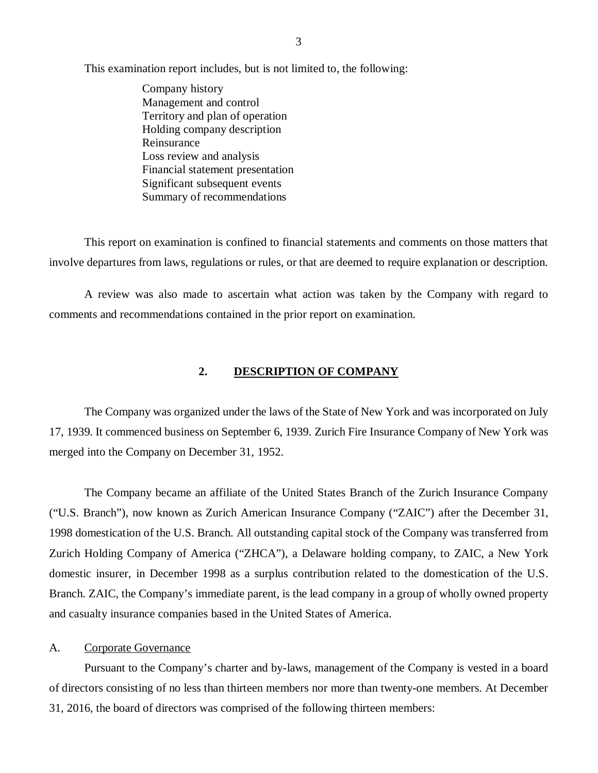<span id="page-4-0"></span>This examination report includes, but is not limited to, the following:

Company history Management and control Territory and plan of operation Holding company description Reinsurance Loss review and analysis Financial statement presentation Significant subsequent events Summary of recommendations

This report on examination is confined to financial statements and comments on those matters that involve departures from laws, regulations or rules, or that are deemed to require explanation or description.

A review was also made to ascertain what action was taken by the Company with regard to comments and recommendations contained in the prior report on examination.

#### **2. DESCRIPTION OF COMPANY**

The Company was organized under the laws of the State of New York and was incorporated on July 17, 1939. It commenced business on September 6, 1939. Zurich Fire Insurance Company of New York was merged into the Company on December 31, 1952.

The Company became an affiliate of the United States Branch of the Zurich Insurance Company ("U.S. Branch"), now known as Zurich American Insurance Company ("ZAIC") after the December 31, 1998 domestication of the U.S. Branch. All outstanding capital stock of the Company was transferred from Zurich Holding Company of America ("ZHCA"), a Delaware holding company, to ZAIC, a New York domestic insurer, in December 1998 as a surplus contribution related to the domestication of the U.S. Branch. ZAIC, the Company's immediate parent, is the lead company in a group of wholly owned property and casualty insurance companies based in the United States of America.

#### A. Corporate Governance

Pursuant to the Company's charter and by-laws, management of the Company is vested in a board of directors consisting of no less than thirteen members nor more than twenty-one members. At December 31, 2016, the board of directors was comprised of the following thirteen members: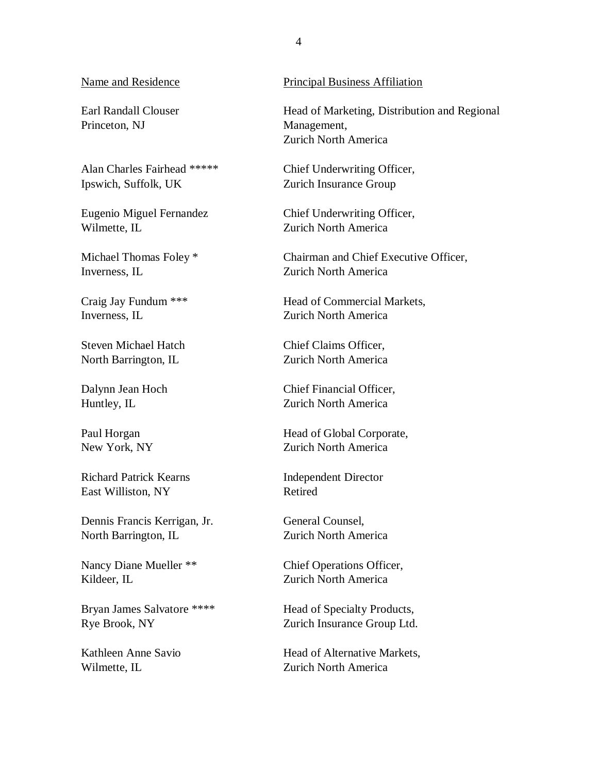Earl Randall Clouser Princeton, NJ

Alan Charles Fairhead \*\*\*\*\* Ipswich, Suffolk, UK

Eugenio Miguel Fernandez Wilmette, IL

Michael Thomas Foley \* Inverness, IL

Craig Jay Fundum \*\*\* Inverness, IL

Steven Michael Hatch North Barrington, IL

Dalynn Jean Hoch Huntley, IL

Paul Horgan New York, NY

Richard Patrick Kearns East Williston, NY

Dennis Francis Kerrigan, Jr. North Barrington, IL

Nancy Diane Mueller \*\* Kildeer, IL

Bryan James Salvatore \*\*\*\* Rye Brook, NY

Kathleen Anne Savio Wilmette, IL

#### Name and Residence Principal Business Affiliation

Head of Marketing, Distribution and Regional Management, Zurich North America

Chief Underwriting Officer, Zurich Insurance Group

Chief Underwriting Officer, Zurich North America

Chairman and Chief Executive Officer, Zurich North America

Head of Commercial Markets, Zurich North America

Chief Claims Officer, Zurich North America

Chief Financial Officer, Zurich North America

Head of Global Corporate, Zurich North America

Independent Director Retired

General Counsel, Zurich North America

Chief Operations Officer, Zurich North America

Head of Specialty Products, Zurich Insurance Group Ltd.

Head of Alternative Markets, Zurich North America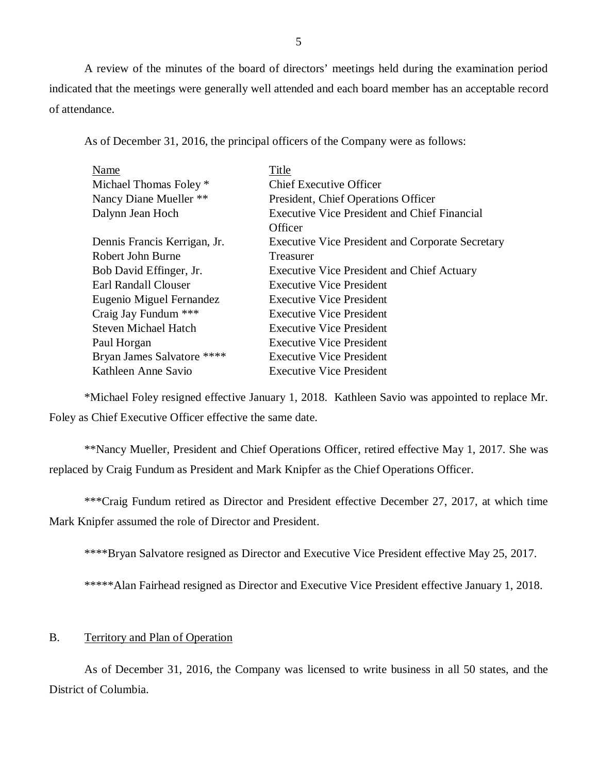<span id="page-6-0"></span>A review of the minutes of the board of directors' meetings held during the examination period indicated that the meetings were generally well attended and each board member has an acceptable record of attendance.

As of December 31, 2016, the principal officers of the Company were as follows:

| Name                         | Title                                                   |  |  |
|------------------------------|---------------------------------------------------------|--|--|
| Michael Thomas Foley *       | <b>Chief Executive Officer</b>                          |  |  |
| Nancy Diane Mueller **       | President, Chief Operations Officer                     |  |  |
| Dalynn Jean Hoch             | <b>Executive Vice President and Chief Financial</b>     |  |  |
|                              | Officer                                                 |  |  |
| Dennis Francis Kerrigan, Jr. | <b>Executive Vice President and Corporate Secretary</b> |  |  |
| Robert John Burne            | Treasurer                                               |  |  |
| Bob David Effinger, Jr.      | <b>Executive Vice President and Chief Actuary</b>       |  |  |
| Earl Randall Clouser         | <b>Executive Vice President</b>                         |  |  |
| Eugenio Miguel Fernandez     | <b>Executive Vice President</b>                         |  |  |
| Craig Jay Fundum ***         | <b>Executive Vice President</b>                         |  |  |
| <b>Steven Michael Hatch</b>  | <b>Executive Vice President</b>                         |  |  |
| Paul Horgan                  | <b>Executive Vice President</b>                         |  |  |
| Bryan James Salvatore ****   | <b>Executive Vice President</b>                         |  |  |
| Kathleen Anne Savio          | <b>Executive Vice President</b>                         |  |  |

\*Michael Foley resigned effective January 1, 2018. Kathleen Savio was appointed to replace Mr. Foley as Chief Executive Officer effective the same date.

\*\*Nancy Mueller, President and Chief Operations Officer, retired effective May 1, 2017. She was replaced by Craig Fundum as President and Mark Knipfer as the Chief Operations Officer.

\*\*\*Craig Fundum retired as Director and President effective December 27, 2017, at which time Mark Knipfer assumed the role of Director and President.

\*\*\*\*Bryan Salvatore resigned as Director and Executive Vice President effective May 25, 2017.

\*\*\*\*\*Alan Fairhead resigned as Director and Executive Vice President effective January 1, 2018.

#### B. Territory and Plan of Operation

As of December 31, 2016, the Company was licensed to write business in all 50 states, and the District of Columbia.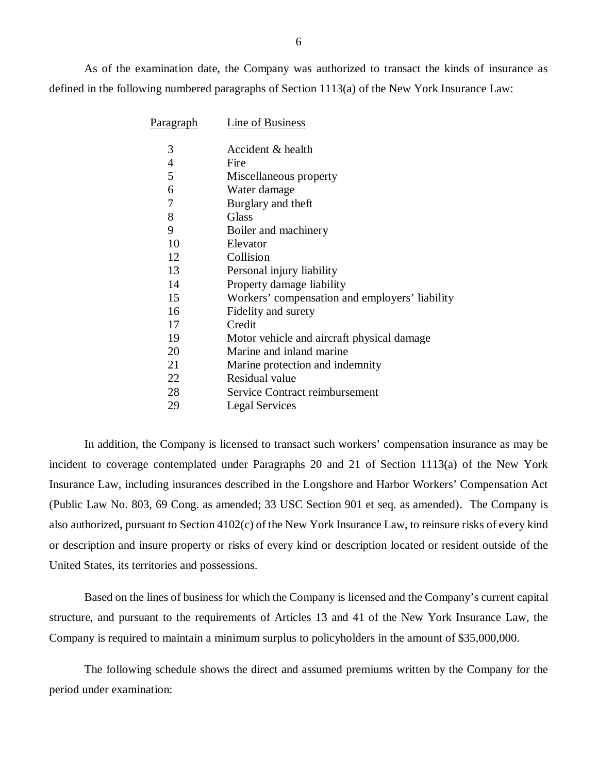As of the examination date, the Company was authorized to transact the kinds of insurance as defined in the following numbered paragraphs of Section 1113(a) of the New York Insurance Law:

| <u>Paragraph</u> | <b>Line of Business</b>                        |
|------------------|------------------------------------------------|
| 3                | Accident & health                              |
| 4                | Fire                                           |
| 5                | Miscellaneous property                         |
| 6                | Water damage                                   |
| 7                | Burglary and theft                             |
| 8                | Glass                                          |
| 9                | Boiler and machinery                           |
| 10               | Elevator                                       |
| 12               | Collision                                      |
| 13               | Personal injury liability                      |
| 14               | Property damage liability                      |
| 15               | Workers' compensation and employers' liability |
| 16               | Fidelity and surety                            |
| 17               | Credit                                         |
| 19               | Motor vehicle and aircraft physical damage     |
| 20               | Marine and inland marine                       |
| 21               | Marine protection and indemnity                |
| 22               | Residual value                                 |
| 28               | Service Contract reimbursement                 |
| 29               | <b>Legal Services</b>                          |

In addition, the Company is licensed to transact such workers' compensation insurance as may be incident to coverage contemplated under Paragraphs 20 and 21 of Section 1113(a) of the New York Insurance Law, including insurances described in the Longshore and Harbor Workers' Compensation Act (Public Law No. 803, 69 Cong. as amended; 33 USC Section 901 et seq. as amended). The Company is also authorized, pursuant to Section 4102(c) of the New York Insurance Law, to reinsure risks of every kind or description and insure property or risks of every kind or description located or resident outside of the United States, its territories and possessions.

Based on the lines of business for which the Company is licensed and the Company's current capital structure, and pursuant to the requirements of Articles 13 and 41 of the New York Insurance Law, the Company is required to maintain a minimum surplus to policyholders in the amount of \$35,000,000.

The following schedule shows the direct and assumed premiums written by the Company for the period under examination: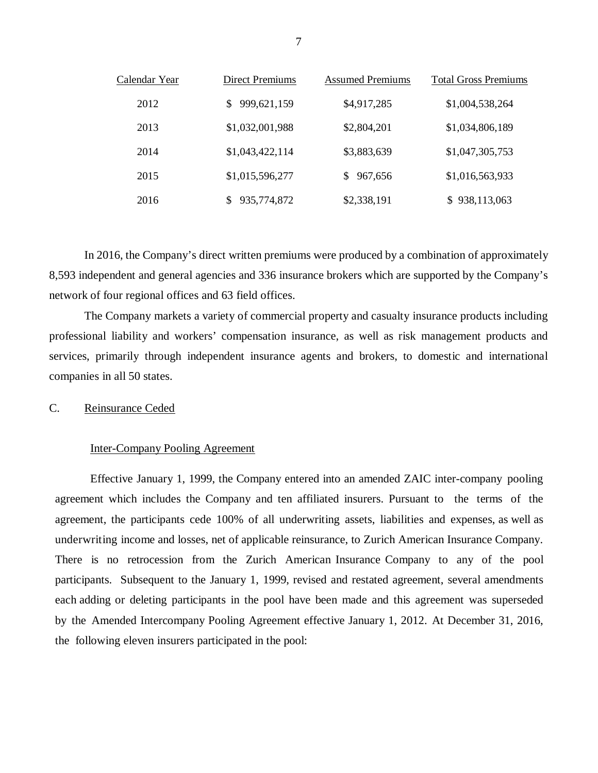| Calendar Year | Direct Premiums | <b>Assumed Premiums</b> | <b>Total Gross Premiums</b> |
|---------------|-----------------|-------------------------|-----------------------------|
| 2012          | 999,621,159     | \$4,917,285             | \$1,004,538,264             |
| 2013          | \$1,032,001,988 | \$2,804,201             | \$1,034,806,189             |
| 2014          | \$1,043,422,114 | \$3,883,639             | \$1,047,305,753             |
| 2015          | \$1,015,596,277 | 967,656<br>S            | \$1,016,563,933             |
| 2016          | 935,774,872     | \$2,338,191             | \$938,113,063               |

In 2016, the Company's direct written premiums were produced by a combination of approximately 8,593 independent and general agencies and 336 insurance brokers which are supported by the Company's network of four regional offices and 63 field offices.

The Company markets a variety of commercial property and casualty insurance products including professional liability and workers' compensation insurance, as well as risk management products and services, primarily through independent insurance agents and brokers, to domestic and international companies in all 50 states.

#### C. Reinsurance Ceded

#### Inter-Company Pooling Agreement

Effective January 1, 1999, the Company entered into an amended ZAIC inter-company pooling agreement which includes the Company and ten affiliated insurers. Pursuant to the terms of the agreement, the participants cede 100% of all underwriting assets, liabilities and expenses, as well as underwriting income and losses, net of applicable reinsurance, to Zurich American Insurance Company. There is no retrocession from the Zurich American Insurance Company to any of the pool participants. Subsequent to the January 1, 1999, revised and restated agreement, several amendments each adding or deleting participants in the pool have been made and this agreement was superseded by the Amended Intercompany Pooling Agreement effective January 1, 2012. At December 31, 2016, the following eleven insurers participated in the pool: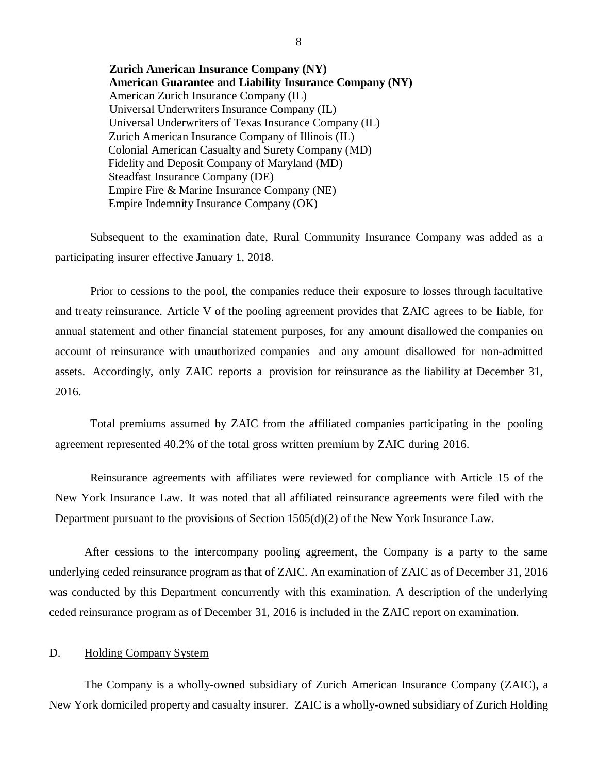<span id="page-9-0"></span>**Zurich American Insurance Company (NY) American Guarantee and Liability Insurance Company (NY)**  American Zurich Insurance Company (IL) Universal Underwriters Insurance Company (IL) Universal Underwriters of Texas Insurance Company (IL) Zurich American Insurance Company of Illinois (IL) Colonial American Casualty and Surety Company (MD) Fidelity and Deposit Company of Maryland (MD) Steadfast Insurance Company (DE) Empire Fire & Marine Insurance Company (NE) Empire Indemnity Insurance Company (OK)

Subsequent to the examination date, Rural Community Insurance Company was added as a participating insurer effective January 1, 2018.

Prior to cessions to the pool, the companies reduce their exposure to losses through facultative and treaty reinsurance. Article V of the pooling agreement provides that ZAIC agrees to be liable, for annual statement and other financial statement purposes, for any amount disallowed the companies on account of reinsurance with unauthorized companies and any amount disallowed for non-admitted assets. Accordingly, only ZAIC reports a provision for reinsurance as the liability at December 31, 2016.

Total premiums assumed by ZAIC from the affiliated companies participating in the pooling agreement represented 40.2% of the total gross written premium by ZAIC during 2016.

Reinsurance agreements with affiliates were reviewed for compliance with Article 15 of the New York Insurance Law. It was noted that all affiliated reinsurance agreements were filed with the Department pursuant to the provisions of Section 1505(d)(2) of the New York Insurance Law.

After cessions to the intercompany pooling agreement, the Company is a party to the same underlying ceded reinsurance program as that of ZAIC. An examination of ZAIC as of December 31, 2016 was conducted by this Department concurrently with this examination. A description of the underlying ceded reinsurance program as of December 31, 2016 is included in the ZAIC report on examination.

#### D. Holding Company System

The Company is a wholly-owned subsidiary of Zurich American Insurance Company (ZAIC), a New York domiciled property and casualty insurer. ZAIC is a wholly-owned subsidiary of Zurich Holding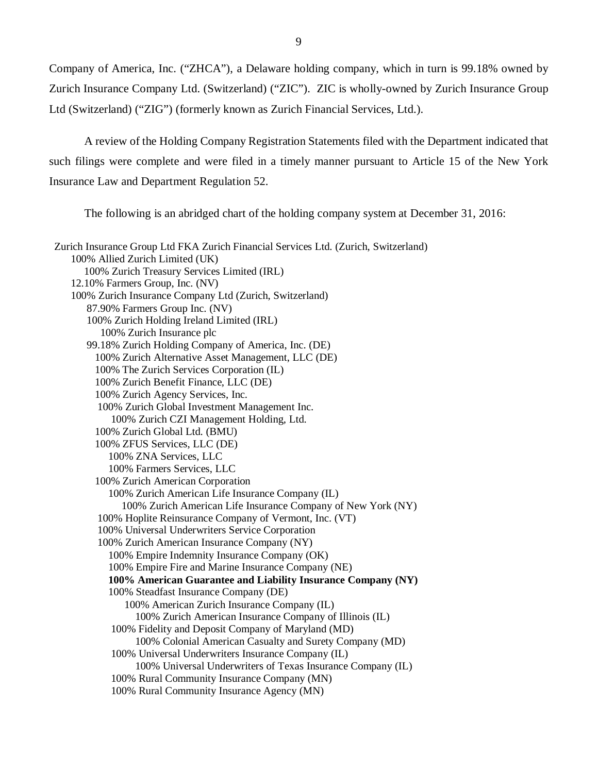Company of America, Inc. ("ZHCA"), a Delaware holding company, which in turn is 99.18% owned by Zurich Insurance Company Ltd. (Switzerland) ("ZIC"). ZIC is wholly-owned by Zurich Insurance Group Ltd (Switzerland) ("ZIG") (formerly known as Zurich Financial Services, Ltd.).

A review of the Holding Company Registration Statements filed with the Department indicated that such filings were complete and were filed in a timely manner pursuant to Article 15 of the New York Insurance Law and Department Regulation 52.

The following is an abridged chart of the holding company system at December 31, 2016:

| Zurich Insurance Group Ltd FKA Zurich Financial Services Ltd. (Zurich, Switzerland) |
|-------------------------------------------------------------------------------------|
| 100% Allied Zurich Limited (UK)                                                     |
| 100% Zurich Treasury Services Limited (IRL)                                         |
| 12.10% Farmers Group, Inc. (NV)                                                     |
| 100% Zurich Insurance Company Ltd (Zurich, Switzerland)                             |
| 87.90% Farmers Group Inc. (NV)                                                      |
| 100% Zurich Holding Ireland Limited (IRL)                                           |
| 100% Zurich Insurance plc                                                           |
| 99.18% Zurich Holding Company of America, Inc. (DE)                                 |
| 100% Zurich Alternative Asset Management, LLC (DE)                                  |
| 100% The Zurich Services Corporation (IL)                                           |
| 100% Zurich Benefit Finance, LLC (DE)                                               |
| 100% Zurich Agency Services, Inc.                                                   |
| 100% Zurich Global Investment Management Inc.                                       |
| 100% Zurich CZI Management Holding, Ltd.                                            |
| 100% Zurich Global Ltd. (BMU)                                                       |
| 100% ZFUS Services, LLC (DE)                                                        |
| 100% ZNA Services, LLC                                                              |
| 100% Farmers Services, LLC                                                          |
| 100% Zurich American Corporation                                                    |
| 100% Zurich American Life Insurance Company (IL)                                    |
| 100% Zurich American Life Insurance Company of New York (NY)                        |
| 100% Hoplite Reinsurance Company of Vermont, Inc. (VT)                              |
| 100% Universal Underwriters Service Corporation                                     |
| 100% Zurich American Insurance Company (NY)                                         |
| 100% Empire Indemnity Insurance Company (OK)                                        |
| 100% Empire Fire and Marine Insurance Company (NE)                                  |
| 100% American Guarantee and Liability Insurance Company (NY)                        |
| 100% Steadfast Insurance Company (DE)                                               |
| 100% American Zurich Insurance Company (IL)                                         |
| 100% Zurich American Insurance Company of Illinois (IL)                             |
| 100% Fidelity and Deposit Company of Maryland (MD)                                  |
| 100% Colonial American Casualty and Surety Company (MD)                             |
| 100% Universal Underwriters Insurance Company (IL)                                  |
| 100% Universal Underwriters of Texas Insurance Company (IL)                         |
| 100% Rural Community Insurance Company (MN)                                         |
| 100% Rural Community Insurance Agency (MN)                                          |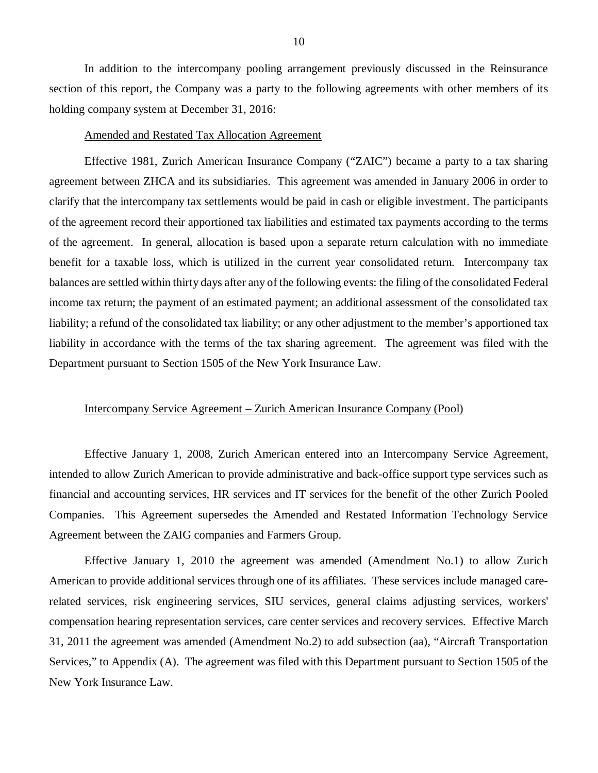In addition to the intercompany pooling arrangement previously discussed in the Reinsurance section of this report, the Company was a party to the following agreements with other members of its holding company system at December 31, 2016:

#### Amended and Restated Tax Allocation Agreement

Effective 1981, Zurich American Insurance Company ("ZAIC") became a party to a tax sharing agreement between ZHCA and its subsidiaries. This agreement was amended in January 2006 in order to clarify that the intercompany tax settlements would be paid in cash or eligible investment. The participants of the agreement record their apportioned tax liabilities and estimated tax payments according to the terms of the agreement. In general, allocation is based upon a separate return calculation with no immediate benefit for a taxable loss, which is utilized in the current year consolidated return. Intercompany tax balances are settled within thirty days after any of the following events: the filing of the consolidated Federal income tax return; the payment of an estimated payment; an additional assessment of the consolidated tax liability; a refund of the consolidated tax liability; or any other adjustment to the member's apportioned tax liability in accordance with the terms of the tax sharing agreement. The agreement was filed with the Department pursuant to Section 1505 of the New York Insurance Law.

#### Intercompany Service Agreement – Zurich American Insurance Company (Pool)

Effective January 1, 2008, Zurich American entered into an Intercompany Service Agreement, intended to allow Zurich American to provide administrative and back-office support type services such as financial and accounting services, HR services and IT services for the benefit of the other Zurich Pooled Companies. This Agreement supersedes the Amended and Restated Information Technology Service Agreement between the ZAIG companies and Farmers Group.

Effective January 1, 2010 the agreement was amended (Amendment No.1) to allow Zurich American to provide additional services through one of its affiliates. These services include managed carerelated services, risk engineering services, SIU services, general claims adjusting services, workers' compensation hearing representation services, care center services and recovery services. Effective March 31, 2011 the agreement was amended (Amendment No.2) to add subsection (aa), "Aircraft Transportation Services," to Appendix (A). The agreement was filed with this Department pursuant to Section 1505 of the New York Insurance Law.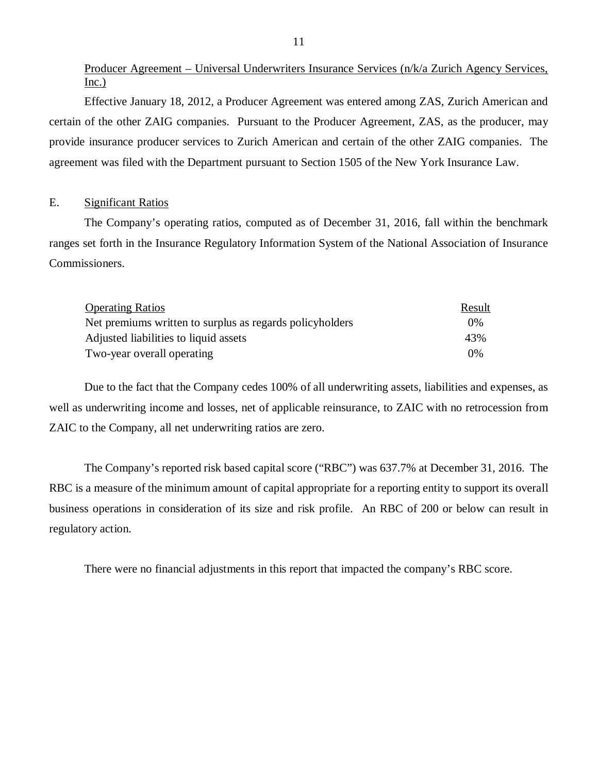Producer Agreement – Universal Underwriters Insurance Services (n/k/a Zurich Agency Services, Inc.)

Effective January 18, 2012, a Producer Agreement was entered among ZAS, Zurich American and certain of the other ZAIG companies. Pursuant to the Producer Agreement, ZAS, as the producer, may provide insurance producer services to Zurich American and certain of the other ZAIG companies. The agreement was filed with the Department pursuant to Section 1505 of the New York Insurance Law.

#### E. Significant Ratios

The Company's operating ratios, computed as of December 31, 2016, fall within the benchmark ranges set forth in the Insurance Regulatory Information System of the National Association of Insurance Commissioners.

| <b>Operating Ratios</b>                                  | Result |
|----------------------------------------------------------|--------|
| Net premiums written to surplus as regards policyholders | $0\%$  |
| Adjusted liabilities to liquid assets                    | 43%    |
| Two-year overall operating                               | $0\%$  |

Due to the fact that the Company cedes 100% of all underwriting assets, liabilities and expenses, as well as underwriting income and losses, net of applicable reinsurance, to ZAIC with no retrocession from ZAIC to the Company, all net underwriting ratios are zero.

The Company's reported risk based capital score ("RBC") was 637.7% at December 31, 2016. The RBC is a measure of the minimum amount of capital appropriate for a reporting entity to support its overall business operations in consideration of its size and risk profile. An RBC of 200 or below can result in regulatory action.

There were no financial adjustments in this report that impacted the company's RBC score.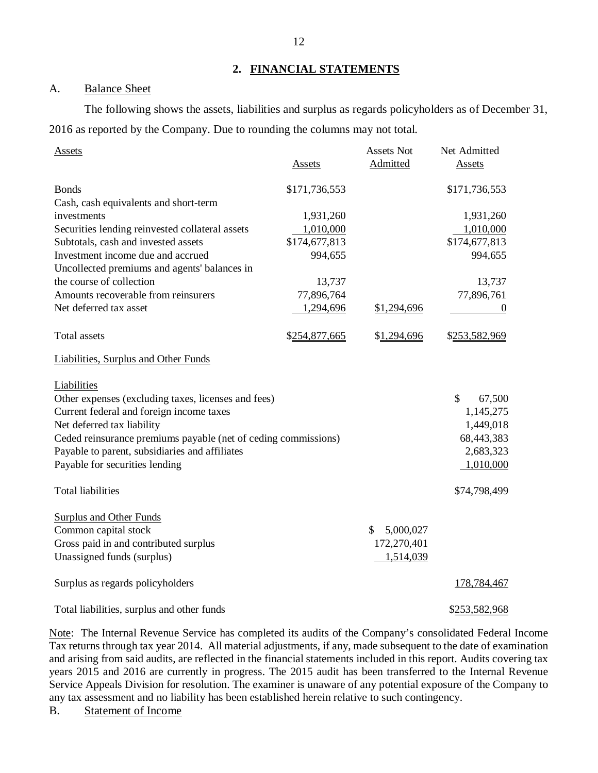#### **2. FINANCIAL STATEMENTS**

#### A. Balance Sheet

The following shows the assets, liabilities and surplus as regards policyholders as of December 31, 2016 as reported by the Company. Due to rounding the columns may not total.

| Assets                                                         |               | Assets Not      | Net Admitted   |
|----------------------------------------------------------------|---------------|-----------------|----------------|
|                                                                | <b>Assets</b> | Admitted        | <b>Assets</b>  |
| <b>Bonds</b>                                                   | \$171,736,553 |                 | \$171,736,553  |
| Cash, cash equivalents and short-term                          |               |                 |                |
| investments                                                    | 1,931,260     |                 | 1,931,260      |
| Securities lending reinvested collateral assets                | 1,010,000     |                 | 1,010,000      |
| Subtotals, cash and invested assets                            | \$174,677,813 |                 | \$174,677,813  |
| Investment income due and accrued                              | 994,655       |                 | 994,655        |
| Uncollected premiums and agents' balances in                   |               |                 |                |
| the course of collection                                       | 13,737        |                 | 13,737         |
| Amounts recoverable from reinsurers                            | 77,896,764    |                 | 77,896,761     |
| Net deferred tax asset                                         | 1,294,696     | \$1,294,696     | $\overline{0}$ |
| Total assets                                                   | \$254,877,665 | \$1,294,696     | \$253,582,969  |
| <b>Liabilities, Surplus and Other Funds</b>                    |               |                 |                |
| <b>Liabilities</b>                                             |               |                 |                |
| Other expenses (excluding taxes, licenses and fees)            |               |                 | \$<br>67,500   |
| Current federal and foreign income taxes                       |               |                 | 1,145,275      |
| Net deferred tax liability                                     |               |                 | 1,449,018      |
| Ceded reinsurance premiums payable (net of ceding commissions) |               |                 | 68,443,383     |
| Payable to parent, subsidiaries and affiliates                 |               |                 | 2,683,323      |
| Payable for securities lending                                 |               |                 | 1,010,000      |
| <b>Total liabilities</b>                                       |               |                 | \$74,798,499   |
| <b>Surplus and Other Funds</b>                                 |               |                 |                |
| Common capital stock                                           |               | \$<br>5,000,027 |                |
| Gross paid in and contributed surplus                          |               | 172,270,401     |                |
| Unassigned funds (surplus)                                     |               | 1,514,039       |                |
| Surplus as regards policyholders                               |               |                 | 178,784,467    |
| Total liabilities, surplus and other funds                     |               |                 | \$253,582,968  |

Note: The Internal Revenue Service has completed its audits of the Company's consolidated Federal Income Tax returns through tax year 2014. All material adjustments, if any, made subsequent to the date of examination and arising from said audits, are reflected in the financial statements included in this report. Audits covering tax years 2015 and 2016 are currently in progress. The 2015 audit has been transferred to the Internal Revenue Service Appeals Division for resolution. The examiner is unaware of any potential exposure of the Company to any tax assessment and no liability has been established herein relative to such contingency.

B. Statement of Income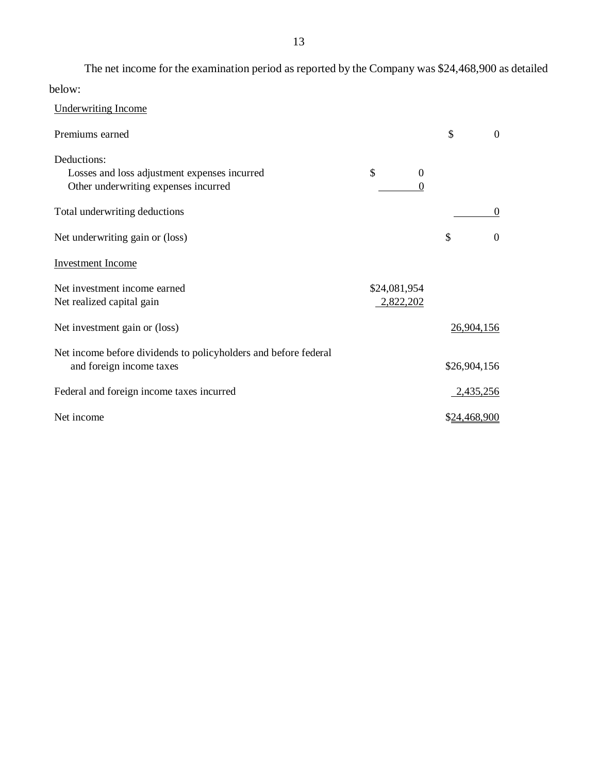The net income for the examination period as reported by the Company was \$24,468,900 as detailed below:

| <b>Underwriting Income</b>                                                                  |              |                |              |            |
|---------------------------------------------------------------------------------------------|--------------|----------------|--------------|------------|
| Premiums earned                                                                             |              |                | \$           | $\Omega$   |
| Deductions:<br>Losses and loss adjustment expenses incurred                                 | \$           | $\overline{0}$ |              |            |
| Other underwriting expenses incurred                                                        |              | $\Omega$       |              |            |
| Total underwriting deductions                                                               |              |                |              | $\Omega$   |
| Net underwriting gain or (loss)                                                             |              |                | \$           | $\Omega$   |
| <b>Investment Income</b>                                                                    |              |                |              |            |
| Net investment income earned                                                                | \$24,081,954 |                |              |            |
| Net realized capital gain                                                                   | 2,822,202    |                |              |            |
| Net investment gain or (loss)                                                               |              |                |              | 26,904,156 |
| Net income before dividends to policyholders and before federal<br>and foreign income taxes |              |                | \$26,904,156 |            |
|                                                                                             |              |                |              |            |
| Federal and foreign income taxes incurred                                                   |              |                |              | 2,435,256  |
| Net income                                                                                  |              |                | \$24,468,900 |            |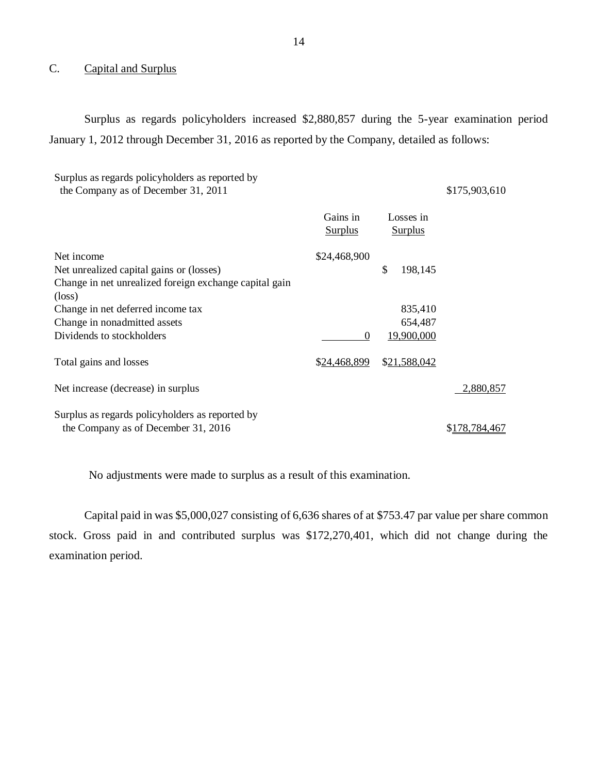## C. Capital and Surplus

Surplus as regards policyholders increased \$2,880,857 during the 5-year examination period January 1, 2012 through December 31, 2016 as reported by the Company, detailed as follows:

| Surplus as regards policyholders as reported by<br>the Company as of December 31, 2011 |                            |                             | \$175,903,610 |
|----------------------------------------------------------------------------------------|----------------------------|-----------------------------|---------------|
|                                                                                        | Gains in<br><b>Surplus</b> | Losses in<br><b>Surplus</b> |               |
| Net income                                                                             | \$24,468,900               |                             |               |
| Net unrealized capital gains or (losses)                                               |                            | \$<br>198,145               |               |
| Change in net unrealized foreign exchange capital gain                                 |                            |                             |               |
| $(\text{loss})$                                                                        |                            |                             |               |
| Change in net deferred income tax                                                      |                            | 835,410                     |               |
| Change in nonadmitted assets                                                           |                            | 654,487                     |               |
| Dividends to stockholders                                                              | $\theta$                   | 19,900,000                  |               |
| Total gains and losses                                                                 | \$24,468,899               | \$21,588,042                |               |
| Net increase (decrease) in surplus                                                     |                            |                             | 2,880,857     |
| Surplus as regards policyholders as reported by                                        |                            |                             |               |
| the Company as of December 31, 2016                                                    |                            |                             | \$178.784.467 |

No adjustments were made to surplus as a result of this examination.

Capital paid in was \$5,000,027 consisting of 6,636 shares of at \$753.47 par value per share common stock. Gross paid in and contributed surplus was \$172,270,401, which did not change during the examination period.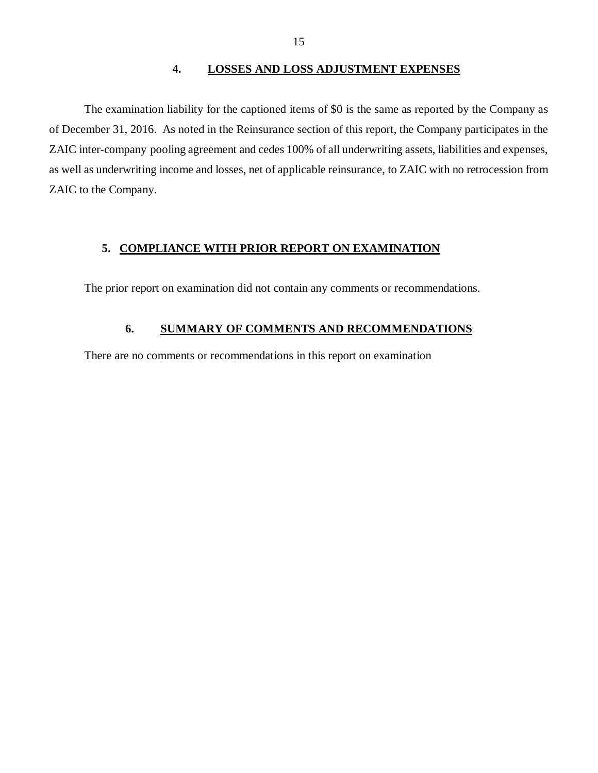#### **4. LOSSES AND LOSS ADJUSTMENT EXPENSES**

<span id="page-16-0"></span>The examination liability for the captioned items of \$0 is the same as reported by the Company as of December 31, 2016. As noted in the Reinsurance section of this report, the Company participates in the ZAIC inter-company pooling agreement and cedes 100% of all underwriting assets, liabilities and expenses, as well as underwriting income and losses, net of applicable reinsurance, to ZAIC with no retrocession from ZAIC to the Company.

#### **5. COMPLIANCE WITH PRIOR REPORT ON EXAMINATION**

The prior report on examination did not contain any comments or recommendations.

### **6. SUMMARY OF COMMENTS AND RECOMMENDATIONS**

There are no comments or recommendations in this report on examination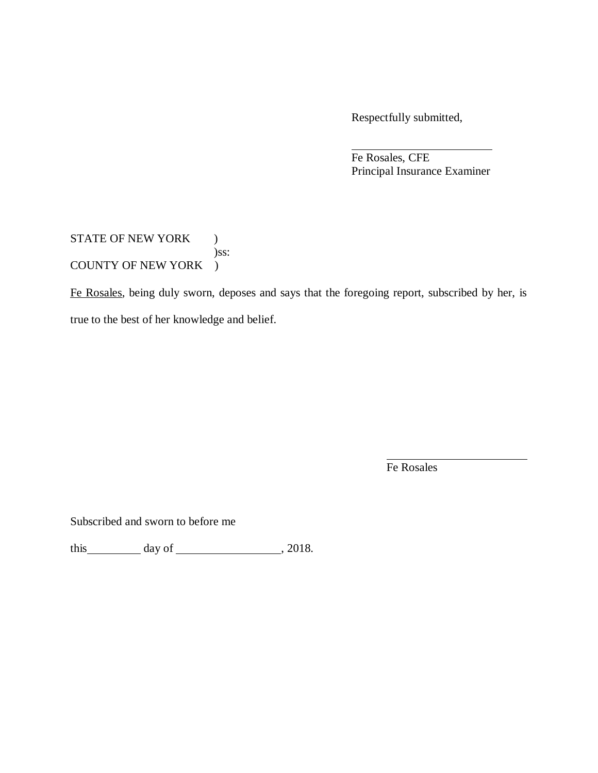Respectfully submitted,

Fe Rosales, CFE Principal Insurance Examiner

STATE OF NEW YORK ) )ss: COUNTY OF NEW YORK )

Fe Rosales, being duly sworn, deposes and says that the foregoing report, subscribed by her, is true to the best of her knowledge and belief.

Fe Rosales

Subscribed and sworn to before me

this  $\_\_\_\_\_\$  day of  $\_\_\_\_\_\_\_\_\_\_\_\_\,$  2018.